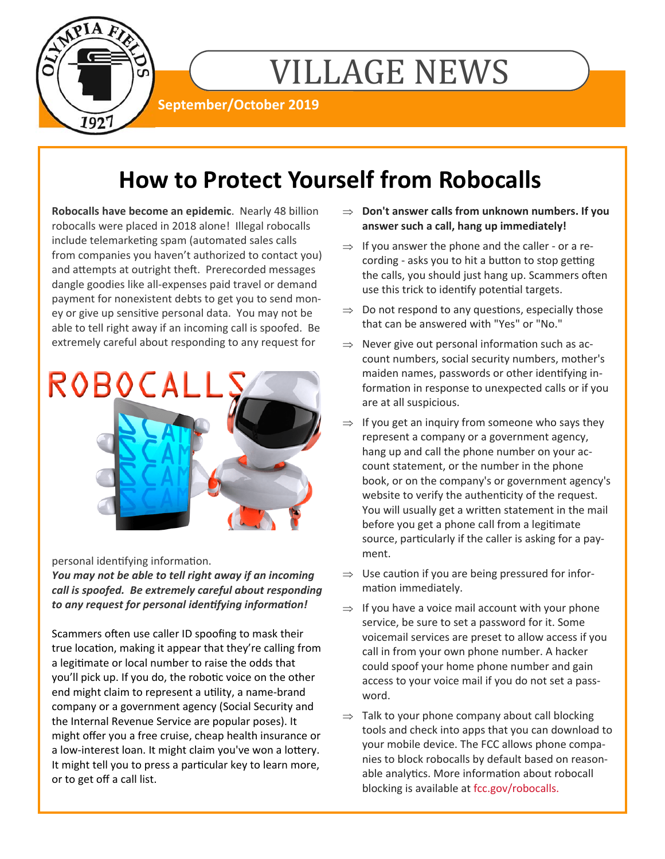

# VILLAGE NEWS

**September/October 2019** 

## **How to Protect Yourself from Robocalls**

**Robocalls have become an epidemic**. Nearly 48 billion robocalls were placed in 2018 alone! Illegal robocalls include telemarketing spam (automated sales calls from companies you haven't authorized to contact you) and attempts at outright theft. Prerecorded messages dangle goodies like all‐expenses paid travel or demand payment for nonexistent debts to get you to send mon‐ ey or give up sensitive personal data. You may not be able to tell right away if an incoming call is spoofed. Be extremely careful about responding to any request for



personal identifying information.

*You may not be able to tell right away if an incoming call is spoofed. Be extremely careful about responding to any request for personal idenƟfying informaƟon!* 

Scammers often use caller ID spoofing to mask their true location, making it appear that they're calling from a legitimate or local number to raise the odds that you'll pick up. If you do, the robotic voice on the other end might claim to represent a utility, a name-brand company or a government agency (Social Security and the Internal Revenue Service are popular poses). It might offer you a free cruise, cheap health insurance or a low-interest loan. It might claim you've won a lottery. It might tell you to press a particular key to learn more, or to get off a call list.

- **Don't answer calls from unknown numbers. If you answer such a call, hang up immediately!**
- $\Rightarrow$  If you answer the phone and the caller or a recording - asks you to hit a button to stop getting the calls, you should just hang up. Scammers often use this trick to identify potential targets.
- $\Rightarrow$  Do not respond to any questions, especially those that can be answered with "Yes" or "No."
- $\Rightarrow$  Never give out personal information such as account numbers, social security numbers, mother's maiden names, passwords or other identifying information in response to unexpected calls or if you are at all suspicious.
- $\Rightarrow$  If you get an inquiry from someone who says they represent a company or a government agency, hang up and call the phone number on your ac‐ count statement, or the number in the phone book, or on the company's or government agency's website to verify the authenticity of the request. You will usually get a written statement in the mail before you get a phone call from a legitimate source, particularly if the caller is asking for a payment.
- $\Rightarrow$  Use caution if you are being pressured for information immediately.
- $\Rightarrow$  If you have a voice mail account with your phone service, be sure to set a password for it. Some voicemail services are preset to allow access if you call in from your own phone number. A hacker could spoof your home phone number and gain access to your voice mail if you do not set a pass‐ word.
- $\Rightarrow$  Talk to your phone company about call blocking tools and check into apps that you can download to your mobile device. The FCC allows phone compa‐ nies to block robocalls by default based on reason‐ able analytics. More information about robocall blocking is available at fcc.gov/robocalls.